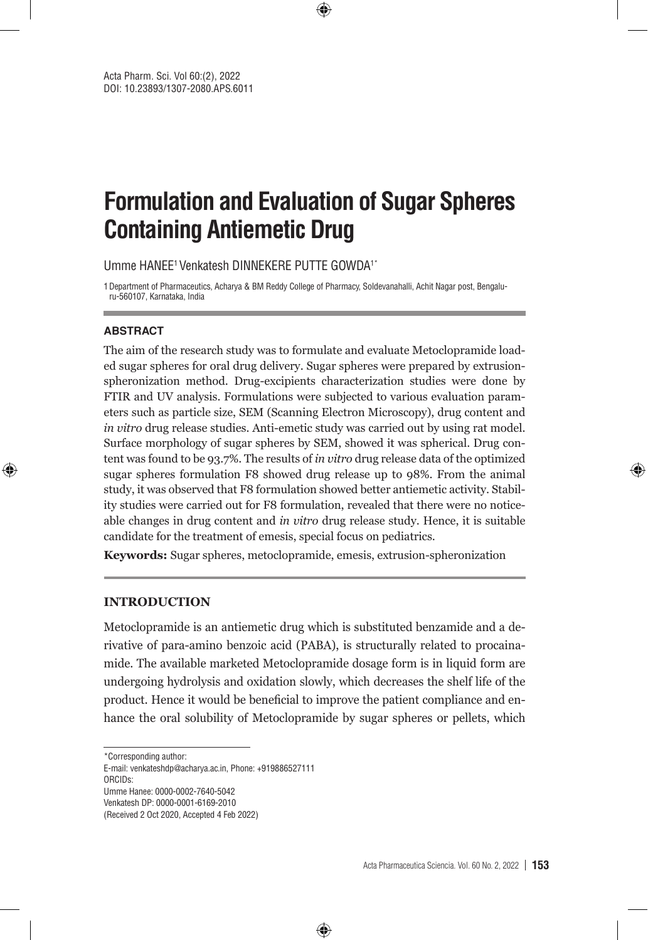# **Formulation and Evaluation of Sugar Spheres Containing Antiemetic Drug**

⊕

Umme HANEE1 Venkatesh DINNEKERE PUTTE GOWDA1\*

1Department of Pharmaceutics, Acharya & BM Reddy College of Pharmacy, Soldevanahalli, Achit Nagar post, Bengaluru-560107, Karnataka, India

#### **ABSTRACT**

⊕

The aim of the research study was to formulate and evaluate Metoclopramide loaded sugar spheres for oral drug delivery. Sugar spheres were prepared by extrusionspheronization method. Drug-excipients characterization studies were done by FTIR and UV analysis. Formulations were subjected to various evaluation parameters such as particle size, SEM (Scanning Electron Microscopy), drug content and *in vitro* drug release studies. Anti-emetic study was carried out by using rat model. Surface morphology of sugar spheres by SEM, showed it was spherical. Drug content was found to be 93.7%. The results of *in vitro* drug release data of the optimized sugar spheres formulation F8 showed drug release up to 98%. From the animal study, it was observed that F8 formulation showed better antiemetic activity. Stability studies were carried out for F8 formulation, revealed that there were no noticeable changes in drug content and *in vitro* drug release study. Hence, it is suitable candidate for the treatment of emesis, special focus on pediatrics.

**Keywords:** Sugar spheres, metoclopramide, emesis, extrusion-spheronization

#### **INTRODUCTION**

Metoclopramide is an antiemetic drug which is substituted benzamide and a derivative of para-amino benzoic acid (PABA), is structurally related to procainamide. The available marketed Metoclopramide dosage form is in liquid form are undergoing hydrolysis and oxidation slowly, which decreases the shelf life of the product. Hence it would be beneficial to improve the patient compliance and enhance the oral solubility of Metoclopramide by sugar spheres or pellets, which

⊕

E-mail: venkateshdp@acharya.ac.in, Phone: +919886527111 ORCIDs: Umme Hanee: 0000-0002-7640-5042

(Received 2 Oct 2020, Accepted 4 Feb 2022)

<sup>\*</sup>Corresponding author:

Venkatesh DP: 0000-0001-6169-2010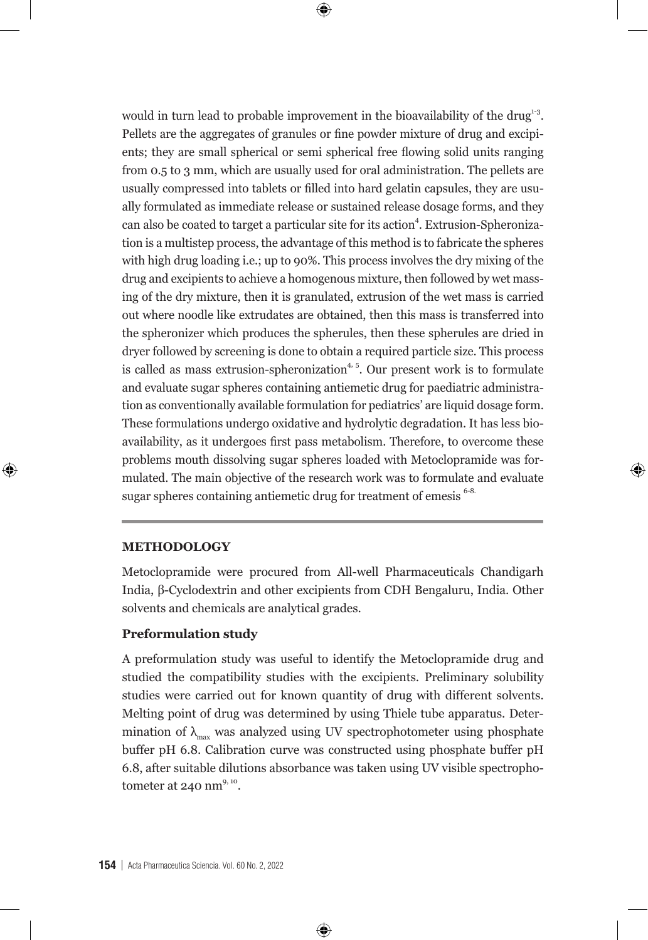would in turn lead to probable improvement in the bioavailability of the drug $13$ . Pellets are the aggregates of granules or fine powder mixture of drug and excipients; they are small spherical or semi spherical free flowing solid units ranging from 0.5 to 3 mm, which are usually used for oral administration. The pellets are usually compressed into tablets or filled into hard gelatin capsules, they are usually formulated as immediate release or sustained release dosage forms, and they can also be coated to target a particular site for its action<sup>4</sup>. Extrusion-Spheronization is a multistep process, the advantage of this method is to fabricate the spheres with high drug loading i.e.; up to 90%. This process involves the dry mixing of the drug and excipients to achieve a homogenous mixture, then followed by wet massing of the dry mixture, then it is granulated, extrusion of the wet mass is carried out where noodle like extrudates are obtained, then this mass is transferred into the spheronizer which produces the spherules, then these spherules are dried in dryer followed by screening is done to obtain a required particle size. This process is called as mass extrusion-spheronization<sup> $4, 5$ </sup>. Our present work is to formulate and evaluate sugar spheres containing antiemetic drug for paediatric administration as conventionally available formulation for pediatrics' are liquid dosage form. These formulations undergo oxidative and hydrolytic degradation. It has less bioavailability, as it undergoes first pass metabolism. Therefore, to overcome these problems mouth dissolving sugar spheres loaded with Metoclopramide was formulated. The main objective of the research work was to formulate and evaluate sugar spheres containing antiemetic drug for treatment of emesis <sup>6-8.</sup>

 $\bm \Theta$ 

#### **METHODOLOGY**

⊕

Metoclopramide were procured from All-well Pharmaceuticals Chandigarh India, β-Cyclodextrin and other excipients from CDH Bengaluru, India. Other solvents and chemicals are analytical grades.

⊕

#### **Preformulation study**

A preformulation study was useful to identify the Metoclopramide drug and studied the compatibility studies with the excipients. Preliminary solubility studies were carried out for known quantity of drug with different solvents. Melting point of drug was determined by using Thiele tube apparatus. Determination of  $\lambda_{\text{max}}$  was analyzed using UV spectrophotometer using phosphate buffer pH 6.8. Calibration curve was constructed using phosphate buffer pH 6.8, after suitable dilutions absorbance was taken using UV visible spectrophotometer at  $240$  nm<sup>9, 10</sup>.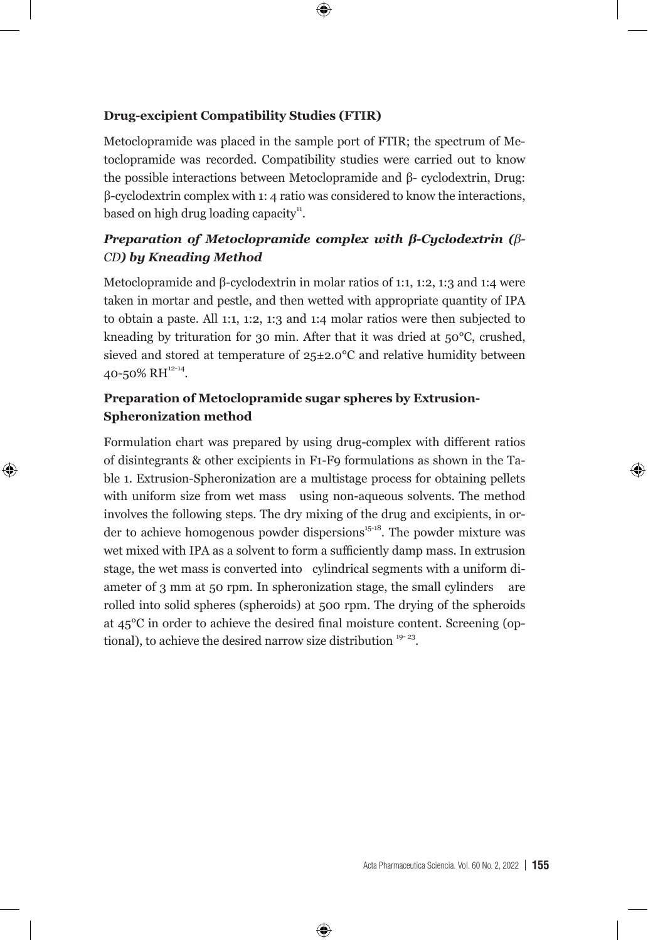#### **Drug-excipient Compatibility Studies (FTIR)**

Metoclopramide was placed in the sample port of FTIR; the spectrum of Metoclopramide was recorded. Compatibility studies were carried out to know the possible interactions between Metoclopramide and β- cyclodextrin, Drug: β-cyclodextrin complex with 1: 4 ratio was considered to know the interactions, based on high drug loading capacity $\mathbf{u}^{\mathbf{u}}$ .

 $\bigoplus$ 

### *Preparation of Metoclopramide complex with β-Cyclodextrin (β-CD) by Kneading Method*

Metoclopramide and β-cyclodextrin in molar ratios of 1:1, 1:2, 1:3 and 1:4 were taken in mortar and pestle, and then wetted with appropriate quantity of IPA to obtain a paste. All 1:1, 1:2, 1:3 and 1:4 molar ratios were then subjected to kneading by trituration for 30 min. After that it was dried at 50°C, crushed, sieved and stored at temperature of 25±2.0°C and relative humidity between 40-50% RH<sup>12-14</sup>.

#### **Preparation of Metoclopramide sugar spheres by Extrusion-Spheronization method**

⊕

Formulation chart was prepared by using drug-complex with different ratios of disintegrants & other excipients in F1-F9 formulations as shown in the Table 1. Extrusion-Spheronization are a multistage process for obtaining pellets with uniform size from wet mass using non-aqueous solvents. The method involves the following steps. The dry mixing of the drug and excipients, in order to achieve homogenous powder dispersions $15-18$ . The powder mixture was wet mixed with IPA as a solvent to form a sufficiently damp mass. In extrusion stage, the wet mass is converted into cylindrical segments with a uniform diameter of 3 mm at 50 rpm. In spheronization stage, the small cylinders are rolled into solid spheres (spheroids) at 500 rpm. The drying of the spheroids at 45°C in order to achieve the desired final moisture content. Screening (optional), to achieve the desired narrow size distribution  $19-23$ .

⊕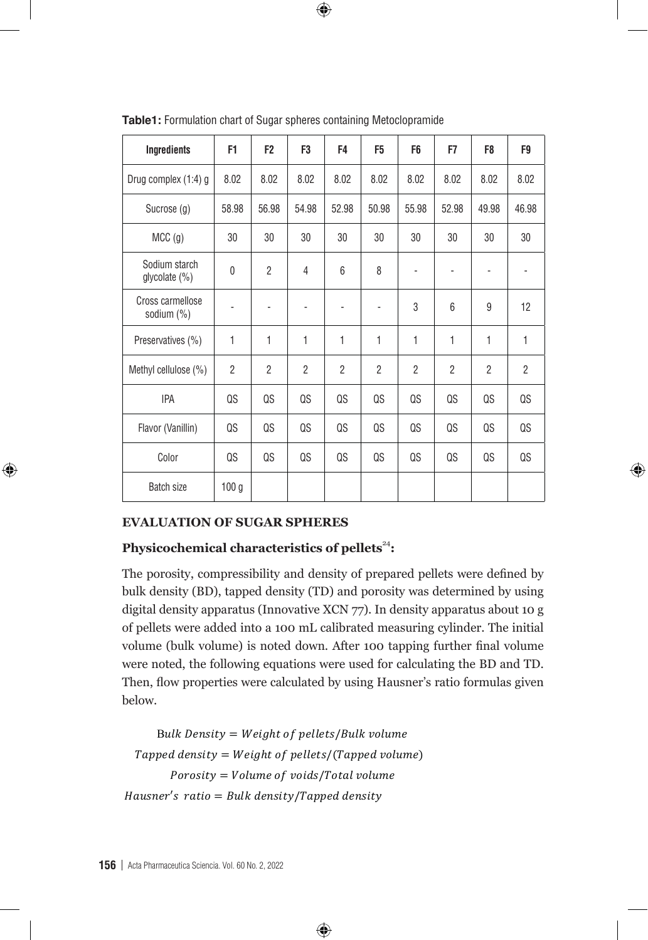| Ingredients                    | F1                           | F <sub>2</sub> | F3                           | F4                       | F <sub>5</sub>           | F <sub>6</sub> | F7             | F8             | F9             |
|--------------------------------|------------------------------|----------------|------------------------------|--------------------------|--------------------------|----------------|----------------|----------------|----------------|
| Drug complex (1:4) g           | 8.02                         | 8.02           | 8.02                         | 8.02                     | 8.02                     | 8.02           | 8.02           | 8.02           | 8.02           |
| Sucrose (g)                    | 58.98                        | 56.98          | 54.98                        | 52.98                    | 50.98                    | 55.98          | 52.98          | 49.98          | 46.98          |
| MCC <sub>(g)</sub>             | 30                           | 30             | 30                           | 30                       | 30                       | 30             | 30             | 30             | 30             |
| Sodium starch<br>glycolate (%) | $\mathbf 0$                  | $\overline{2}$ | 4                            | 6                        | 8                        |                |                |                |                |
| Cross carmellose<br>sodium (%) | $\qquad \qquad \blacksquare$ | $\overline{a}$ | $\qquad \qquad \blacksquare$ | $\overline{\phantom{m}}$ | $\overline{\phantom{a}}$ | 3              | 6              | 9              | 12             |
| Preservatives (%)              | 1                            | 1              | 1                            | 1                        | 1                        | 1              | $\mathbf{1}$   | 1              | 1              |
| Methyl cellulose (%)           | $\overline{2}$               | $\overline{2}$ | $\overline{2}$               | $\overline{2}$           | $\overline{2}$           | $\overline{2}$ | $\overline{2}$ | $\overline{2}$ | $\overline{2}$ |
| <b>IPA</b>                     | QS                           | QS             | QS                           | QS                       | QS                       | QS             | QS             | QS             | QS             |
| Flavor (Vanillin)              | QS                           | QS             | QS                           | QS                       | QS                       | QS             | QS             | QS             | QS             |
| Color                          | QS                           | QS             | QS                           | QS                       | QS                       | QS             | QS             | QS             | QS             |
| <b>Batch size</b>              | 100 <sub>g</sub>             |                |                              |                          |                          |                |                |                |                |

⊕

**Table1:** Formulation chart of Sugar spheres containing Metoclopramide

### **EVALUATION OF SUGAR SPHERES**

⊕

## **Physicochemical characteristics of pellets<sup>24</sup>:**

The porosity, compressibility and density of prepared pellets were defined by bulk density (BD), tapped density (TD) and porosity was determined by using digital density apparatus (Innovative XCN 77). In density apparatus about 10 g of pellets were added into a 100 mL calibrated measuring cylinder. The initial volume (bulk volume) is noted down. After 100 tapping further final volume were noted, the following equations were used for calculating the BD and TD. Then, flow properties were calculated by using Hausner's ratio formulas given below.  $t_{\text{bol}}$  in the following the BD and TD. Then, flow properties were used for calculating  $\frac{1}{2}$ 

⊕

Bulk Density =  $Weight\ of\ pellets/Bulk\ volume$ Tapped density = Weight of pellets/(Tapped volume)  $Porosity = Volume of \ voids/Total \ volume$  $Hausner's ratio = Bulk density/Tapped density$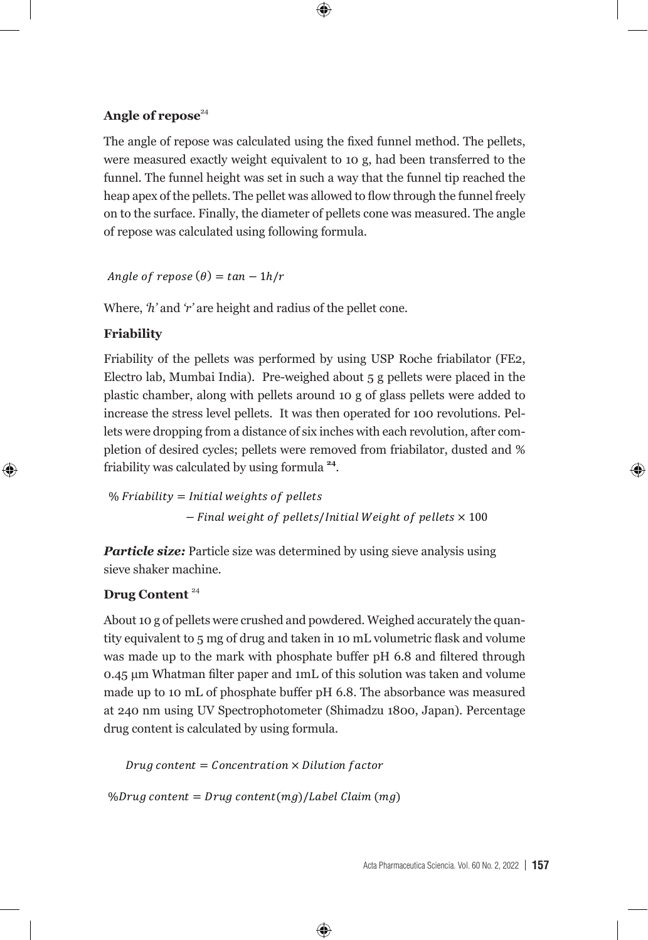#### Angle of repose<sup>24</sup>

The angle of repose was calculated using the fixed funnel method. The pellets, were measured exactly weight equivalent to 10 g, had been transferred to the funnel. The funnel height was set in such a way that the funnel tip reached the heap apex of the pellets. The pellet was allowed to flow through the funnel freely on to the surface. Finally, the diameter of pellets cone was measured. The angle of repose was calculated using following formula.  $t_{\rm F}$  through the surface function  $\frac{1}{2}$  on the diameter of periodic periodic periodic measured. The diameter of periodic cone was measured. The diameter of periodic measured. The diameter of periodic measured. The

 $\bm \Theta$ 

Angle of  $repose(\theta) = tan - \frac{ln}{r}$  $\mathbf{h}$  $t_{\text{total}}$  through the surface. Finally, the surface. Finally, the diameter of pellets cone was measured. The diameter of pellets cone was measured. The diameter of pellets cone was measured. The diameter of pellets cone w

 Where, *'h'* and *'r'* are height and radius of the pellet cone. Where, *'h'* and *'r'* are height and radius of the pellet cone.

### **Friability**

 $\bigoplus$ 

Electro lab, Mumbai India). Pre-weighed about 5 g pellets were placed in the plastic chamber, along with pellets around 10 g of glass pellets were added to increase the stress level pellets. It was then operated for 100 revolutions. Pellets were dropping from a distance of six inches with each revolution, after completion of desired cycles; pellets were removed from friabilator, dusted and % Friability of the pellets was performed by using USP Roche friabilator (FE2, friability was calculated by using formula **<sup>24</sup>**. using formula **<sup>24</sup>**. **Friability** g of glass performance the stress were added to increase the stress level performance then operated for  $100$  $\epsilon$  excludive  $\epsilon$  and  $\epsilon$  of six inches with each revolution  $\epsilon$  from a distance  $\epsilon$ 

% Friability = Initial weights of − Final weight of pellets/Initial Weight of pellets  $\times$  100

> *Particle size:* Particle size was determined by using sieve analysis using sieve shaker machine.

#### **Drug Content** <sup>24</sup> **Drug Content** <sup>24</sup>

to be completely disintegrated as no residue remains on  $\sigma$ 

About 10 g of pellets were crushed and powdered. Weighed accurately the quantity equivalent to 5 mg of drug and taken in 10 mL volumetric flask and volume was made up to the mark with phosphate buffer pH 6.8 and filtered through 0.45 µm Whatman filter paper and 1mL of this solution was taken and volume made up to 10 mL of phosphate buffer pH 6.8. The absorbance was measured drug content is calculated by using formula. at 240 nm using UV Spectrophotometer (Shimadzu 1800, Japan). Percentage

Disintegration test was performed using disintegration tester (USP) (Electrolab, ED 2L, India). About

 $Drug\ content = Concentration \times Dilution\ factor$ 

%Drug content = Drug content(mg)/Label Claim(mg)

to be completely discrete as no residue  $\mathbf \nabla$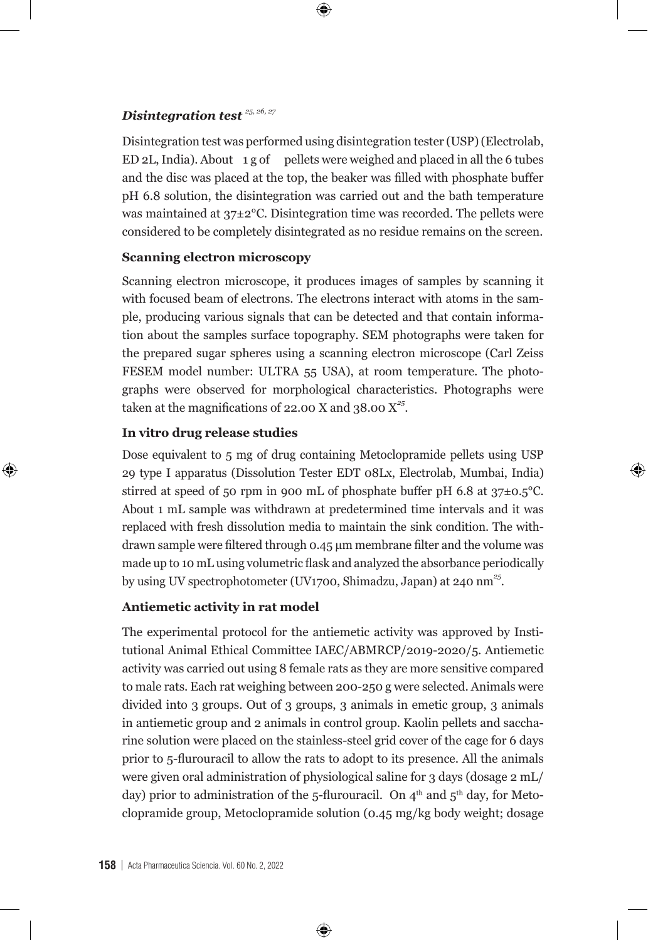#### *Disintegration test 25, 26, 27*

Disintegration test was performed using disintegration tester (USP) (Electrolab, ED 2L, India). About  $1 g$  of pellets were weighed and placed in all the 6 tubes and the disc was placed at the top, the beaker was filled with phosphate buffer pH 6.8 solution, the disintegration was carried out and the bath temperature was maintained at 37±2°C. Disintegration time was recorded. The pellets were considered to be completely disintegrated as no residue remains on the screen.

 $\bm \Theta$ 

#### **Scanning electron microscopy**

Scanning electron microscope, it produces images of samples by scanning it with focused beam of electrons. The electrons interact with atoms in the sample, producing various signals that can be detected and that contain information about the samples surface topography. SEM photographs were taken for the prepared sugar spheres using a scanning electron microscope (Carl Zeiss FESEM model number: ULTRA 55 USA), at room temperature. The photographs were observed for morphological characteristics. Photographs were taken at the magnifications of 22.00 X and 38.00  $X^{25}$ .

#### **In vitro drug release studies**

⊕

Dose equivalent to 5 mg of drug containing Metoclopramide pellets using USP 29 type I apparatus (Dissolution Tester EDT 08Lx, Electrolab, Mumbai, India) stirred at speed of 50 rpm in 900 mL of phosphate buffer pH 6.8 at  $37\pm0.5^{\circ}$ C. About 1 mL sample was withdrawn at predetermined time intervals and it was replaced with fresh dissolution media to maintain the sink condition. The withdrawn sample were filtered through 0.45 µm membrane filter and the volume was made up to 10 mL using volumetric flask and analyzed the absorbance periodically by using UV spectrophotometer (UV1700, Shimadzu, Japan) at 240 nm*<sup>25</sup>*.

⊕

#### **Antiemetic activity in rat model**

The experimental protocol for the antiemetic activity was approved by Institutional Animal Ethical Committee IAEC/ABMRCP/2019-2020/5. Antiemetic activity was carried out using 8 female rats as they are more sensitive compared to male rats. Each rat weighing between 200-250 g were selected. Animals were divided into 3 groups. Out of 3 groups, 3 animals in emetic group, 3 animals in antiemetic group and 2 animals in control group. Kaolin pellets and saccharine solution were placed on the stainless-steel grid cover of the cage for 6 days prior to 5-flurouracil to allow the rats to adopt to its presence. All the animals were given oral administration of physiological saline for 3 days (dosage 2 mL/ day) prior to administration of the 5-flurouracil. On  $4<sup>th</sup>$  and  $5<sup>th</sup>$  day, for Metoclopramide group, Metoclopramide solution (0.45 mg/kg body weight; dosage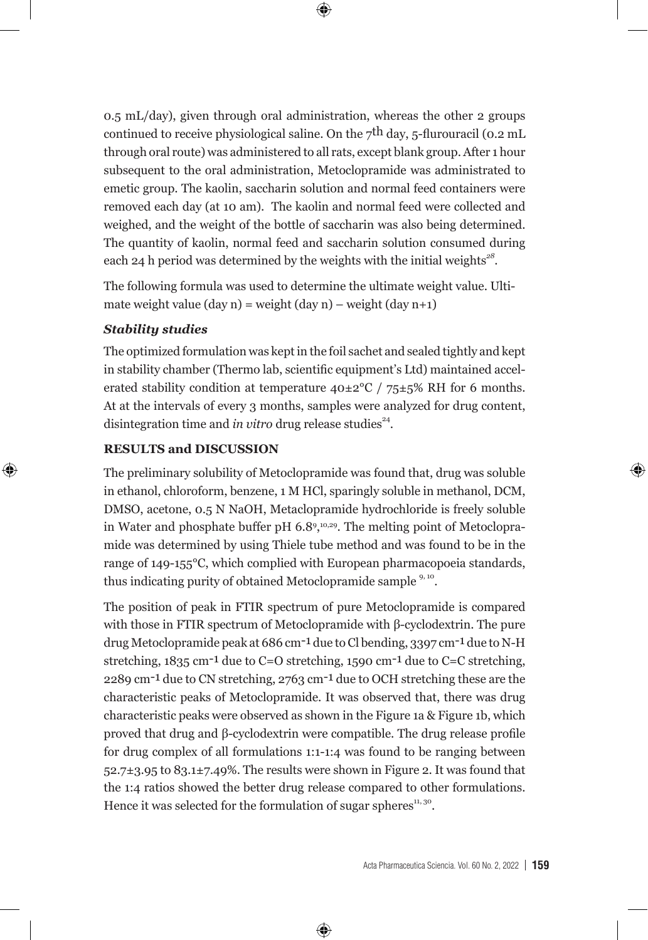0.5 mL/day), given through oral administration, whereas the other 2 groups continued to receive physiological saline. On the  $7<sup>th</sup>$  day, 5-flurouracil (0.2 mL) through oral route) was administered to all rats, except blank group. After 1 hour subsequent to the oral administration, Metoclopramide was administrated to emetic group. The kaolin, saccharin solution and normal feed containers were removed each day (at 10 am). The kaolin and normal feed were collected and weighed, and the weight of the bottle of saccharin was also being determined. The quantity of kaolin, normal feed and saccharin solution consumed during each 24 h period was determined by the weights with the initial weights*<sup>28</sup>*.

 $\bm \Theta$ 

The following formula was used to determine the ultimate weight value. Ultimate weight value (day n) = weight (day n) – weight (day n+1)

#### *Stability studies*

⊕

The optimized formulation was kept in the foil sachet and sealed tightly and kept in stability chamber (Thermo lab, scientific equipment's Ltd) maintained accelerated stability condition at temperature  $40\pm2\degree C$  /  $75\pm5\%$  RH for 6 months. At at the intervals of every 3 months, samples were analyzed for drug content, disintegration time and *in vitro* drug release studies<sup>24</sup>.

#### **RESULTS and DISCUSSION**

The preliminary solubility of Metoclopramide was found that, drug was soluble in ethanol, chloroform, benzene, 1 M HCl, sparingly soluble in methanol, DCM, DMSO, acetone, 0.5 N NaOH, Metaclopramide hydrochloride is freely soluble in Water and phosphate buffer pH 6.8<sup>9, 10,29</sup>. The melting point of Metoclopramide was determined by using Thiele tube method and was found to be in the range of 149-155°C, which complied with European pharmacopoeia standards, thus indicating purity of obtained Metoclopramide sample <sup>9, 10</sup>.

The position of peak in FTIR spectrum of pure Metoclopramide is compared with those in FTIR spectrum of Metoclopramide with β-cyclodextrin. The pure drug Metoclopramide peak at 686 cm-1 due to Cl bending, 3397 cm-1 due to N-H stretching, 1835 cm-1 due to C=O stretching, 1590 cm-1 due to C=C stretching, 2289 cm-1 due to CN stretching, 2763 cm-1 due to OCH stretching these are the characteristic peaks of Metoclopramide. It was observed that, there was drug characteristic peaks were observed as shown in the Figure 1a & Figure 1b, which proved that drug and β-cyclodextrin were compatible. The drug release profile for drug complex of all formulations 1:1-1:4 was found to be ranging between  $52.7\pm3.95$  to  $83.1\pm7.49$ %. The results were shown in Figure 2. It was found that the 1:4 ratios showed the better drug release compared to other formulations. Hence it was selected for the formulation of sugar spheres<sup>11, 30</sup>.

⊕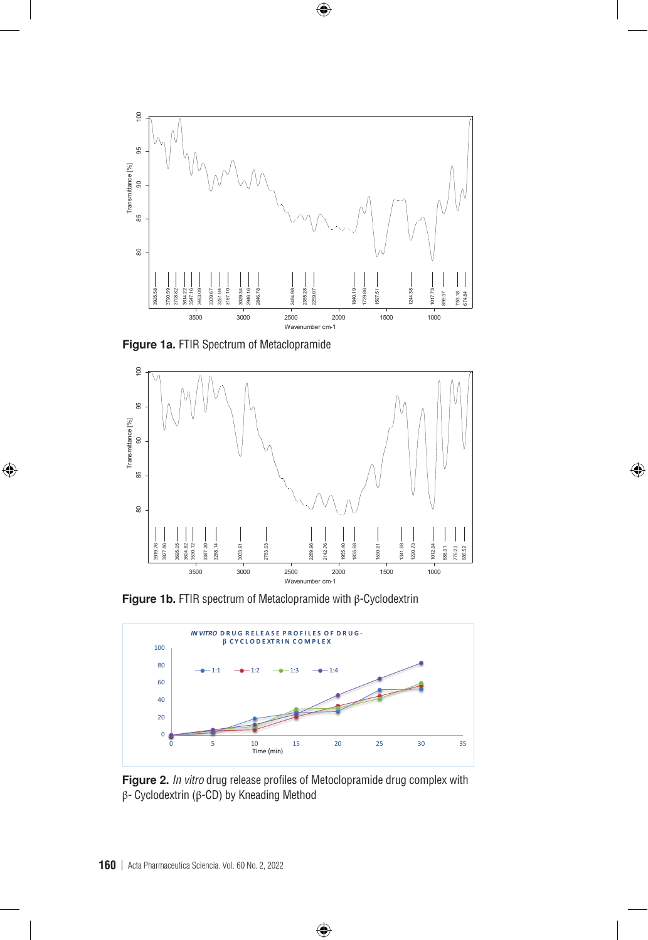

 $\bigoplus$ 



 $\bigoplus$ 



 $\bigoplus$ 



Figure 2. *In vitro* drug release profiles of Metoclopramide drug complex with β- Cyclodextrin (β-CD) by Kneading Method

 $\bigoplus$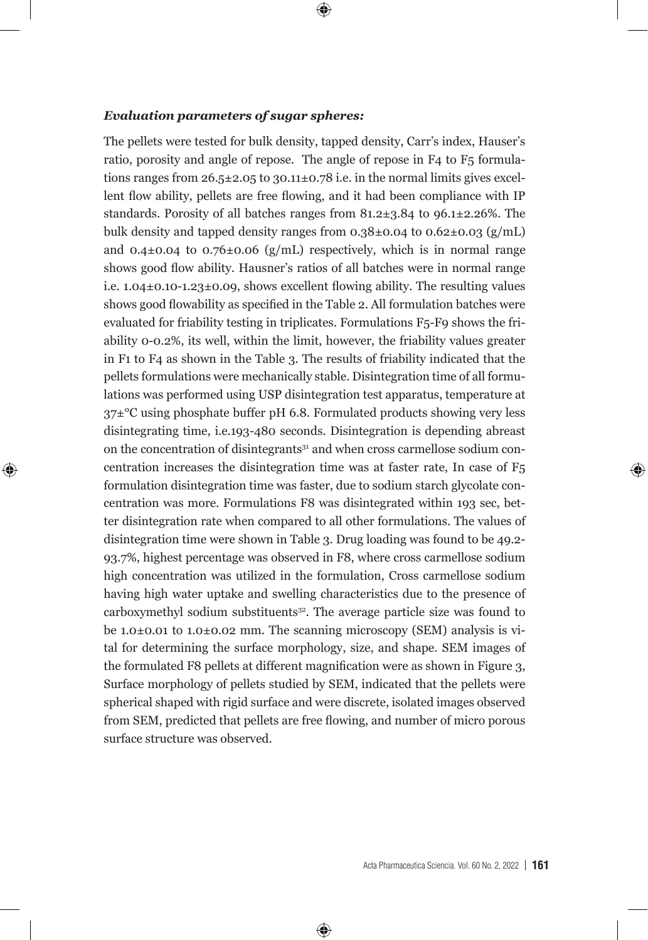#### *Evaluation parameters of sugar spheres:*

⊕

The pellets were tested for bulk density, tapped density, Carr's index, Hauser's ratio, porosity and angle of repose. The angle of repose in F4 to F5 formulations ranges from  $26.5\pm 2.05$  to  $30.11\pm 0.78$  i.e. in the normal limits gives excellent flow ability, pellets are free flowing, and it had been compliance with IP standards. Porosity of all batches ranges from 81.2±3.84 to 96.1±2.26%. The bulk density and tapped density ranges from  $0.38\pm0.04$  to  $0.62\pm0.03$  (g/mL) and  $0.4\pm0.04$  to  $0.76\pm0.06$  (g/mL) respectively, which is in normal range shows good flow ability. Hausner's ratios of all batches were in normal range i.e. 1.04±0.10-1.23±0.09, shows excellent flowing ability. The resulting values shows good flowability as specified in the Table 2. All formulation batches were evaluated for friability testing in triplicates. Formulations F5-F9 shows the friability 0-0.2%, its well, within the limit, however, the friability values greater in F1 to F4 as shown in the Table 3. The results of friability indicated that the pellets formulations were mechanically stable. Disintegration time of all formulations was performed using USP disintegration test apparatus, temperature at  $37\pm$ <sup>o</sup>C using phosphate buffer pH 6.8. Formulated products showing very less disintegrating time, i.e.193-480 seconds. Disintegration is depending abreast on the concentration of disintegrants<sup>31</sup> and when cross carmellose sodium concentration increases the disintegration time was at faster rate, In case of F5 formulation disintegration time was faster, due to sodium starch glycolate concentration was more. Formulations F8 was disintegrated within 193 sec, better disintegration rate when compared to all other formulations. The values of disintegration time were shown in Table 3. Drug loading was found to be 49.2- 93.7%, highest percentage was observed in F8, where cross carmellose sodium high concentration was utilized in the formulation, Cross carmellose sodium having high water uptake and swelling characteristics due to the presence of carboxymethyl sodium substituents<sup>32</sup>. The average particle size was found to be 1.0±0.01 to 1.0±0.02 mm. The scanning microscopy (SEM) analysis is vital for determining the surface morphology, size, and shape. SEM images of the formulated F8 pellets at different magnification were as shown in Figure 3, Surface morphology of pellets studied by SEM, indicated that the pellets were spherical shaped with rigid surface and were discrete, isolated images observed from SEM, predicted that pellets are free flowing, and number of micro porous surface structure was observed.

⊕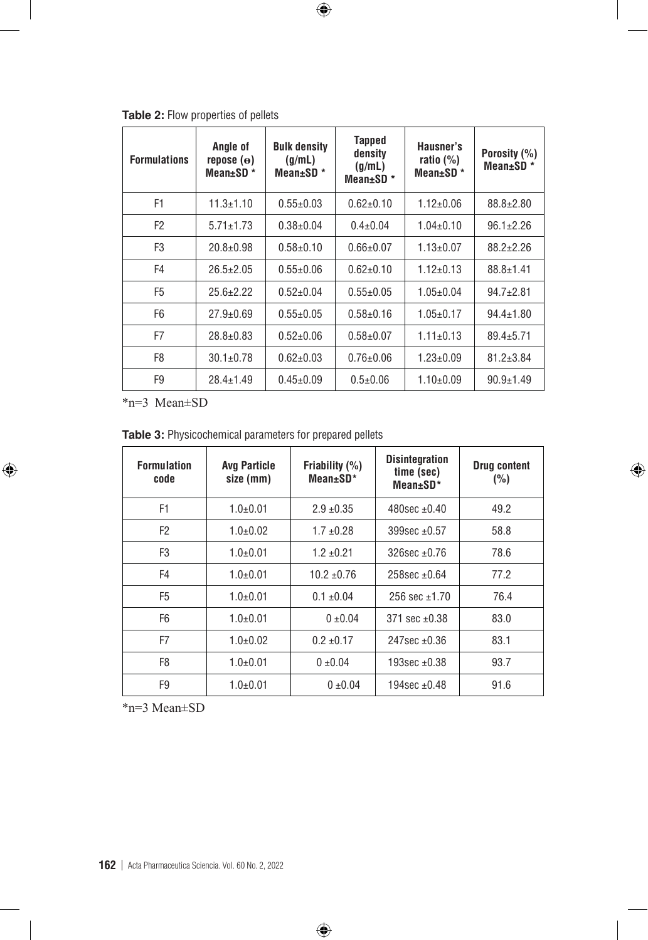| <b>Formulations</b> | Angle of<br>repose $(\mathbf{e})$<br>Mean $\pm$ SD $*$ | <b>Bulk density</b><br>(g/mL)<br>Mean $\pm$ SD $*$ | Tapped<br>density<br>(g/mL)<br>Mean $\pm$ SD $*$ | Hausner's<br>ratio $(\%)$<br>Mean $\pm$ SD $*$ | Porosity (%)<br>Mean $\pm$ SD $*$ |
|---------------------|--------------------------------------------------------|----------------------------------------------------|--------------------------------------------------|------------------------------------------------|-----------------------------------|
| F1                  | $11.3 \pm 1.10$                                        | $0.55 \pm 0.03$                                    | $0.62 \pm 0.10$                                  | $1.12 \pm 0.06$                                | $88.8 \pm 2.80$                   |
| F <sub>2</sub>      | $5.71 \pm 1.73$                                        | $0.38 \pm 0.04$                                    | $0.4 \pm 0.04$                                   | $1.04 \pm 0.10$                                | $96.1 \pm 2.26$                   |
| F3                  | $20.8 \pm 0.98$                                        | $0.58 + 0.10$                                      | $0.66 \pm 0.07$                                  | $1.13 \pm 0.07$                                | $88.2 \pm 2.26$                   |
| F4                  | $26.5 \pm 2.05$                                        | $0.55 \pm 0.06$                                    | $0.62 \pm 0.10$                                  | $1.12 \pm 0.13$                                | $88.8 \pm 1.41$                   |
| F <sub>5</sub>      | $25.6 \pm 2.22$                                        | $0.52 \pm 0.04$                                    | $0.55 \pm 0.05$                                  | $1.05 \pm 0.04$                                | $94.7 \pm 2.81$                   |
| F <sub>6</sub>      | $27.9 \pm 0.69$                                        | $0.55 \pm 0.05$                                    | $0.58 \pm 0.16$                                  | $1.05 \pm 0.17$                                | $94.4 \pm 1.80$                   |
| F7                  | $28.8 \pm 0.83$                                        | $0.52 \pm 0.06$                                    | $0.58 + 0.07$                                    | $1.11 \pm 0.13$                                | $89.4 \pm 5.71$                   |
| F8                  | $30.1 \pm 0.78$                                        | $0.62 \pm 0.03$                                    | $0.76 \pm 0.06$                                  | $1.23 \pm 0.09$                                | $81.2 \pm 3.84$                   |
| F9                  | $28.4 \pm 1.49$                                        | $0.45 \pm 0.09$                                    | $0.5 + 0.06$                                     | $1.10\pm0.09$                                  | $90.9 \pm 1.49$                   |

 $\bigoplus$ 

**Table 2:** Flow properties of pellets

\*n=3 Mean±SD

 $\bigoplus$ 

**Table 3:** Physicochemical parameters for prepared pellets

| <b>Formulation</b><br>code | <b>Avg Particle</b><br>size (mm) | Friability $(%)$<br>$Mean \pm SD^*$ | <b>Disintegration</b><br>time (sec)<br>$Mean \pm SD^*$ | <b>Drug content</b><br>(%) |
|----------------------------|----------------------------------|-------------------------------------|--------------------------------------------------------|----------------------------|
| F1                         | $1.0+0.01$                       | $2.9 + 0.35$                        | $480$ sec +0.40                                        | 49.2                       |
| F <sub>2</sub>             | $1.0+0.02$                       | $1.7 \pm 0.28$                      | 399sec $±0.57$                                         | 58.8                       |
| F <sub>3</sub>             | $1.0{\pm}0.01$                   | $1.2 \pm 0.21$                      | $326$ sec $\pm 0.76$                                   | 78.6                       |
| F4                         | $1.0+0.01$                       | $10.2 + 0.76$                       | 258sec +0.64                                           | 77.2                       |
| F <sub>5</sub>             | $1.0+0.01$                       | $0.1 \pm 0.04$                      | 256 sec $±1.70$                                        | 76.4                       |
| F <sub>6</sub>             | $1.0+0.01$                       | $0 + 0.04$                          | $371$ sec $+0.38$                                      | 83.0                       |
| F7                         | $1.0+0.02$                       | $0.2 \pm 0.17$                      | $247$ sec $+0.36$                                      | 83.1                       |
| F <sub>8</sub>             | $1.0+0.01$                       | $0 + 0.04$                          | $193$ sec $±0.38$                                      | 93.7                       |
| F9                         | $1.0 + 0.01$                     | $0 \pm 0.04$                        | 194sec $±0.48$                                         | 91.6                       |

 $\bigoplus$ 

 $\bigoplus$ 

\*n=3 Mean±SD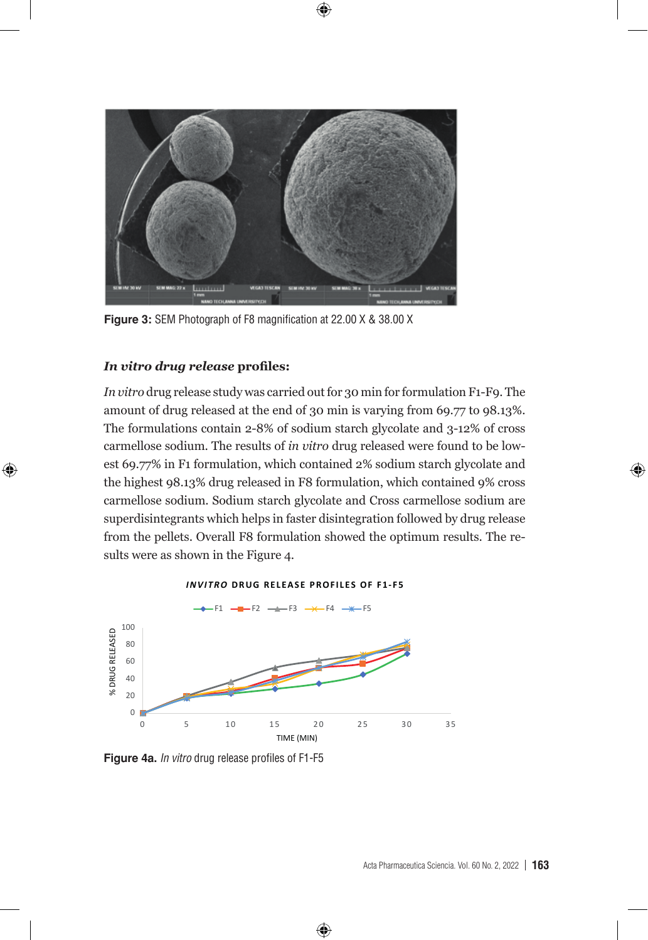

**Figure 3:** SEM Photograph of F8 magnification at 22.00 X & 38.00 X

#### *In vitro drug release* **profiles:**

⊕

*In vitro* drug release study was carried out for 30 min for formulation F1-F9. The amount of drug released at the end of 30 min is varying from 69.77 to 98.13%. The formulations contain 2-8% of sodium starch glycolate and 3-12% of cross carmellose sodium. The results of *in vitro* drug released were found to be lowest 69.77% in F1 formulation, which contained 2% sodium starch glycolate and the highest 98.13% drug released in F8 formulation, which contained 9% cross carmellose sodium. Sodium starch glycolate and Cross carmellose sodium are superdisintegrants which helps in faster disintegration followed by drug release from the pellets. Overall F8 formulation showed the optimum results. The results were as shown in the Figure 4.

#### **INVITRO DRUG RELEASE PROFILES OF F1-F5**



◈

**Figure 4a.** In vitro drug release profiles of F1-F5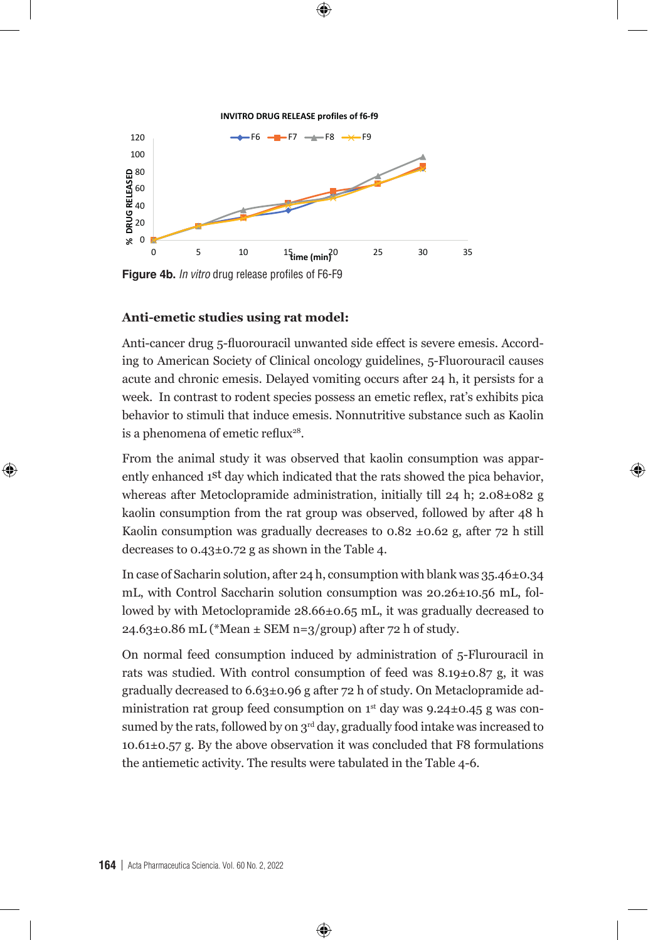**INVITRO DRUG RELEASE profiles of f6-f9** 

 $\downarrow$ 



**Figure 4b.** *In vitro* drug release profiles of F6-F9 **Figure 4b.** In vitro drug release profiles of F6-F9

#### **Anti-emetic studies using rat model:**

⊕

Anti-cancer drug 5-fluorouracil unwanted side effect is severe emesis. According to American Society of Clinical oncology guidelines, 5-Fluorouracil causes acute and chronic emesis. Delayed vomiting occurs after 24 h, it persists for a week. In contrast to rodent species possess an emetic reflex, rat's exhibits pica behavior to stimuli that induce emesis. Nonnutritive substance such as Kaolin is a phenomena of emetic reflux<sup>28</sup>.

From the animal study it was observed that kaolin consumption was apparently enhanced 1st day which indicated that the rats showed the pica behavior, whereas after Metoclopramide administration, initially till 24 h; 2.08±082 g kaolin consumption from the rat group was observed, followed by after 48 h Kaolin consumption was gradually decreases to  $0.82 \pm 0.62$  g, after 72 h still decreases to 0.43±0.72 g as shown in the Table 4.

⊕

In case of Sacharin solution, after 24 h, consumption with blank was  $35.46\pm0.34$ mL, with Control Saccharin solution consumption was 20.26±10.56 mL, followed by with Metoclopramide 28.66±0.65 mL, it was gradually decreased to  $24.63\pm0.86$  mL (\*Mean  $\pm$  SEM n=3/group) after 72 h of study.

On normal feed consumption induced by administration of 5-Flurouracil in rats was studied. With control consumption of feed was 8.19±0.87 g, it was gradually decreased to  $6.63\pm0.96$  g after 72 h of study. On Metaclopramide administration rat group feed consumption on  $1<sup>st</sup>$  day was 9.24±0.45 g was consumed by the rats, followed by on  $3<sup>rd</sup>$  day, gradually food intake was increased to 10.61±0.57 g. By the above observation it was concluded that F8 formulations the antiemetic activity. The results were tabulated in the Table 4-6.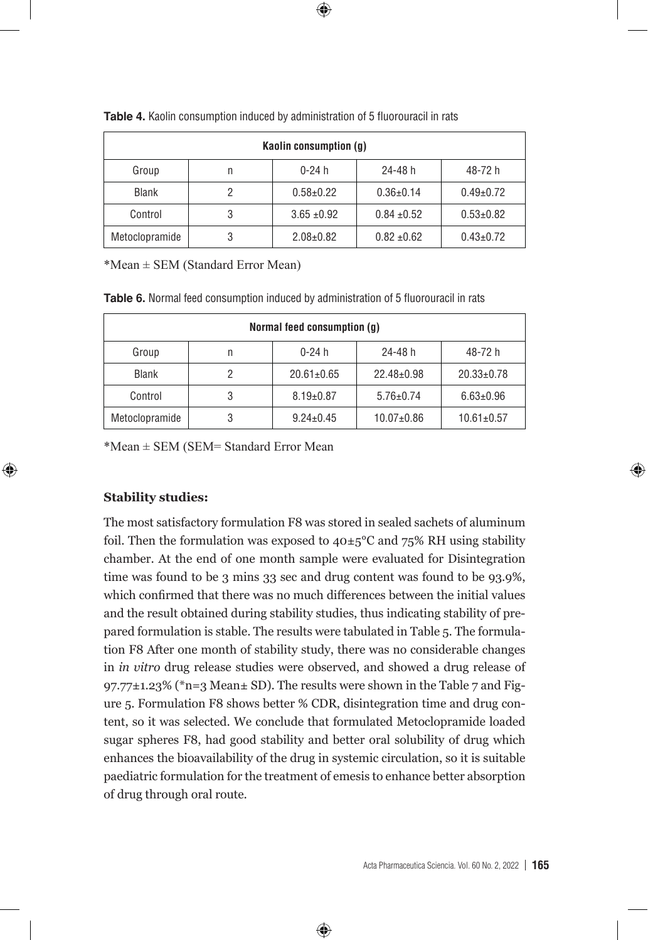| Kaolin consumption (q) |   |                 |                 |                 |  |
|------------------------|---|-----------------|-----------------|-----------------|--|
| Group                  | n | $0-24h$         | 24-48 h         | 48-72 h         |  |
| <b>Blank</b>           | 2 | $0.58 \pm 0.22$ | $0.36 \pm 0.14$ | $0.49 \pm 0.72$ |  |
| Control                | 3 | $3.65 \pm 0.92$ | $0.84 \pm 0.52$ | $0.53 \pm 0.82$ |  |
| Metoclopramide         | 3 | $2.08 \pm 0.82$ | $0.82 + 0.62$   | $0.43 \pm 0.72$ |  |

Table 4. Kaolin consumption induced by administration of 5 fluorouracil in rats

 $*Mean \pm SEM$  (Standard Error Mean)

| Normal feed consumption (q) |                                       |                  |                  |                  |  |
|-----------------------------|---------------------------------------|------------------|------------------|------------------|--|
| Group                       | 48-72 h<br>$0 - 24 h$<br>24-48 h<br>n |                  |                  |                  |  |
| <b>Blank</b>                | 2                                     | $20.61 \pm 0.65$ | $22.48 \pm 0.98$ | $20.33 \pm 0.78$ |  |
| Control                     | 3                                     | $8.19 \pm 0.87$  | $5.76 \pm 0.74$  | $6.63 \pm 0.96$  |  |
| Metoclopramide              | 3                                     | $9.24 \pm 0.45$  | $10.07+0.86$     | $10.61 \pm 0.57$ |  |

\*Mean ± SEM (SEM= Standard Error Mean

#### **Stability studies:**

⊕

The most satisfactory formulation F8 was stored in sealed sachets of aluminum foil. Then the formulation was exposed to  $40\pm5^{\circ}$ C and  $75\%$  RH using stability chamber. At the end of one month sample were evaluated for Disintegration time was found to be 3 mins 33 sec and drug content was found to be 93.9%, which confirmed that there was no much differences between the initial values and the result obtained during stability studies, thus indicating stability of prepared formulation is stable. The results were tabulated in Table 5. The formulation F8 After one month of stability study, there was no considerable changes in *in vitro* drug release studies were observed, and showed a drug release of 97.77 $\pm$ 1.23% (\*n=3 Mean $\pm$  SD). The results were shown in the Table 7 and Figure 5. Formulation F8 shows better % CDR, disintegration time and drug content, so it was selected. We conclude that formulated Metoclopramide loaded sugar spheres F8, had good stability and better oral solubility of drug which enhances the bioavailability of the drug in systemic circulation, so it is suitable paediatric formulation for the treatment of emesis to enhance better absorption of drug through oral route.

⊕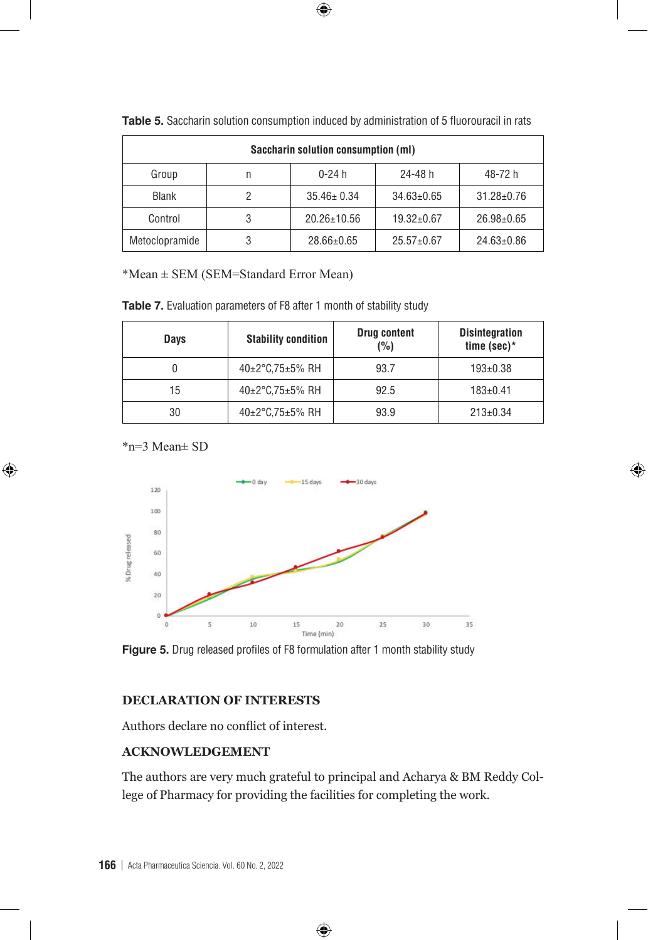| Saccharin solution consumption (ml) |   |                   |                  |                  |  |
|-------------------------------------|---|-------------------|------------------|------------------|--|
| Group                               | n | $0 - 24 h$        | 24-48 h          | 48-72 h          |  |
| Blank                               |   | $35.46 \pm 0.34$  | $34.63 \pm 0.65$ | $31.28 \pm 0.76$ |  |
| Control                             | 3 | $20.26 \pm 10.56$ | $19.32 \pm 0.67$ | $26.98 \pm 0.65$ |  |
| Metoclopramide                      | 3 | $28.66 \pm 0.65$  | $25.57 \pm 0.67$ | $24.63 \pm 0.86$ |  |

**Table 5.** Saccharin solution consumption induced by administration of 5 fluorouracil in rats

 $\bigoplus$ 

\*Mean ± SEM (SEM=Standard Error Mean)

| Table 7. Evaluation parameters of F8 after 1 month of stability study |  |  |  |  |  |
|-----------------------------------------------------------------------|--|--|--|--|--|
|-----------------------------------------------------------------------|--|--|--|--|--|

| Days | <b>Stability condition</b> | <b>Drug content</b><br>(%) | <b>Disintegration</b><br>time (sec)* |
|------|----------------------------|----------------------------|--------------------------------------|
|      | 40±2°C,75±5% RH            | 93.7                       | $193 \pm 0.38$                       |
| 15   | 40±2°C,75±5% RH            | 92.5                       | $183 \pm 0.41$                       |
| 30   | 40±2°C,75±5% RH            | 93.9                       | $213 \pm 0.34$                       |

⊕

\*n=3 Mean± SD

⊕



**Figure 5.** Drug released profiles of F8 formulation after 1 month stability study

#### **DECLARATION OF INTERESTS**

Authors declare no conflict of interest.

#### **ACKNOWLEDGEMENT**

The authors are very much grateful to principal and Acharya & BM Reddy College of Pharmacy for providing the facilities for completing the work.

 $\bigoplus$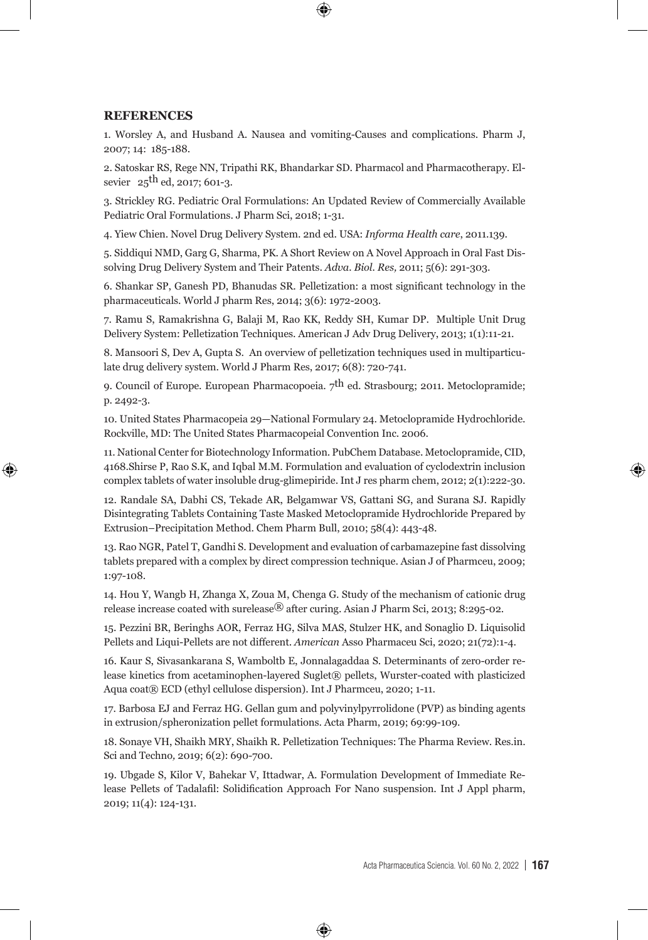#### **REFERENCES**

⊕

1. Worsley A, and Husband A. Nausea and vomiting-Causes and complications. Pharm J, 2007; 14: 185-188.

⊕

2. Satoskar RS, Rege NN, Tripathi RK, Bhandarkar SD. Pharmacol and Pharmacotherapy. Elsevier  $25^{th}$  ed, 2017; 601-3.

3. Strickley RG. Pediatric Oral Formulations: An Updated Review of Commercially Available Pediatric Oral Formulations. J Pharm Sci, 2018; 1-31.

4. Yiew Chien. Novel Drug Delivery System. 2nd ed. USA: *Informa Health care*, 2011.139.

5. Siddiqui NMD, Garg G, Sharma, PK. A Short Review on A Novel Approach in Oral Fast Dissolving Drug Delivery System and Their Patents. *Adva. Biol. Res,* 2011; 5(6): 291-303.

6. Shankar SP, Ganesh PD, Bhanudas SR. Pelletization: a most significant technology in the pharmaceuticals. World J pharm Res, 2014; 3(6): 1972-2003.

7. Ramu S, Ramakrishna G, Balaji M, Rao KK, Reddy SH, Kumar DP. Multiple Unit Drug Delivery System: Pelletization Techniques. American J Adv Drug Delivery, 2013; 1(1):11-21.

8. Mansoori S, Dev A, Gupta S. An overview of pelletization techniques used in multiparticulate drug delivery system. World J Pharm Res, 2017; 6(8): 720-741.

9. Council of Europe. European Pharmacopoeia.  $7<sup>th</sup>$  ed. Strasbourg; 2011. Metoclopramide; p. 2492-3.

10. United States Pharmacopeia 29—National Formulary 24. Metoclopramide Hydrochloride. Rockville, MD: The United States Pharmacopeial Convention Inc. 2006.

11. National Center for Biotechnology Information. PubChem Database. Metoclopramide, CID, 4168.Shirse P, Rao S.K, and Iqbal M.M. Formulation and evaluation of cyclodextrin inclusion complex tablets of water insoluble drug-glimepiride. Int J res pharm chem, 2012; 2(1):222-30.

12. Randale SA, Dabhi CS, Tekade AR, Belgamwar VS, Gattani SG, and Surana SJ. Rapidly Disintegrating Tablets Containing Taste Masked Metoclopramide Hydrochloride Prepared by Extrusion–Precipitation Method. Chem Pharm Bull, 2010; 58(4): 443-48.

13. Rao NGR, Patel T, Gandhi S. Development and evaluation of carbamazepine fast dissolving tablets prepared with a complex by direct compression technique. Asian J of Pharmceu, 2009; 1:97-108.

14. Hou Y, Wangb H, Zhanga X, Zoua M, Chenga G. Study of the mechanism of cationic drug release increase coated with surelease® after curing. Asian J Pharm Sci, 2013; 8:295-02.

15. Pezzini BR, Beringhs AOR, Ferraz HG, Silva MAS, Stulzer HK, and Sonaglio D. Liquisolid Pellets and Liqui-Pellets are not different. *American* Asso Pharmaceu Sci, 2020; 21(72):1-4.

16. Kaur S, Sivasankarana S, Wamboltb E, Jonnalagaddaa S. Determinants of zero-order release kinetics from acetaminophen-layered Suglet® pellets, Wurster-coated with plasticized Aqua coat® ECD (ethyl cellulose dispersion). Int J Pharmceu, 2020; 1-11.

17. Barbosa EJ and Ferraz HG. Gellan gum and polyvinylpyrrolidone (PVP) as binding agents in extrusion/spheronization pellet formulations. Acta Pharm, 2019; 69:99-109.

18. Sonaye VH, Shaikh MRY, Shaikh R. Pelletization Techniques: The Pharma Review. Res.in. Sci and Techno*,* 2019; 6(2): 690-700.

19. Ubgade S, Kilor V, Bahekar V, Ittadwar, A. Formulation Development of Immediate Release Pellets of Tadalafil: Solidification Approach For Nano suspension. Int J Appl pharm, 2019; 11(4): 124-131.

⊕